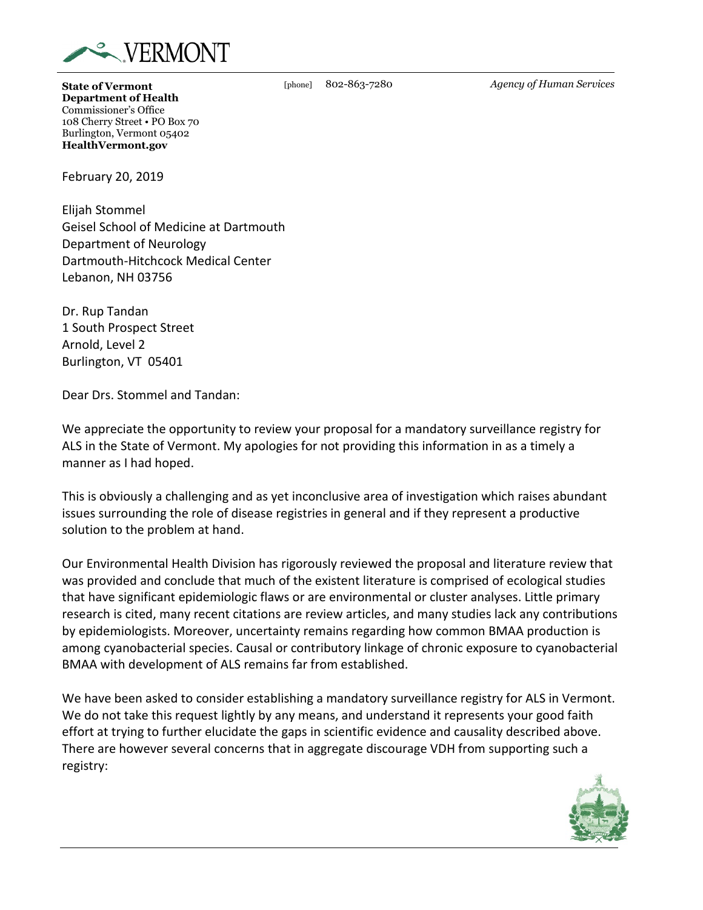

**State of Vermont Department of Health** Commissioner's Office 108 Cherry Street • PO Box 70 Burlington, Vermont 05402 **HealthVermont.gov**

February 20, 2019

Elijah Stommel Geisel School of Medicine at Dartmouth Department of Neurology Dartmouth-Hitchcock Medical Center Lebanon, NH 03756

Dr. Rup Tandan 1 South Prospect Street Arnold, Level 2 Burlington, VT 05401

Dear Drs. Stommel and Tandan:

We appreciate the opportunity to review your proposal for a mandatory surveillance registry for ALS in the State of Vermont. My apologies for not providing this information in as a timely a manner as I had hoped.

This is obviously a challenging and as yet inconclusive area of investigation which raises abundant issues surrounding the role of disease registries in general and if they represent a productive solution to the problem at hand.

Our Environmental Health Division has rigorously reviewed the proposal and literature review that was provided and conclude that much of the existent literature is comprised of ecological studies that have significant epidemiologic flaws or are environmental or cluster analyses. Little primary research is cited, many recent citations are review articles, and many studies lack any contributions by epidemiologists. Moreover, uncertainty remains regarding how common BMAA production is among cyanobacterial species. Causal or contributory linkage of chronic exposure to cyanobacterial BMAA with development of ALS remains far from established.

We have been asked to consider establishing a mandatory surveillance registry for ALS in Vermont. We do not take this request lightly by any means, and understand it represents your good faith effort at trying to further elucidate the gaps in scientific evidence and causality described above. There are however several concerns that in aggregate discourage VDH from supporting such a registry:



[phone] 802-863-7280 *Agency of Human Services*